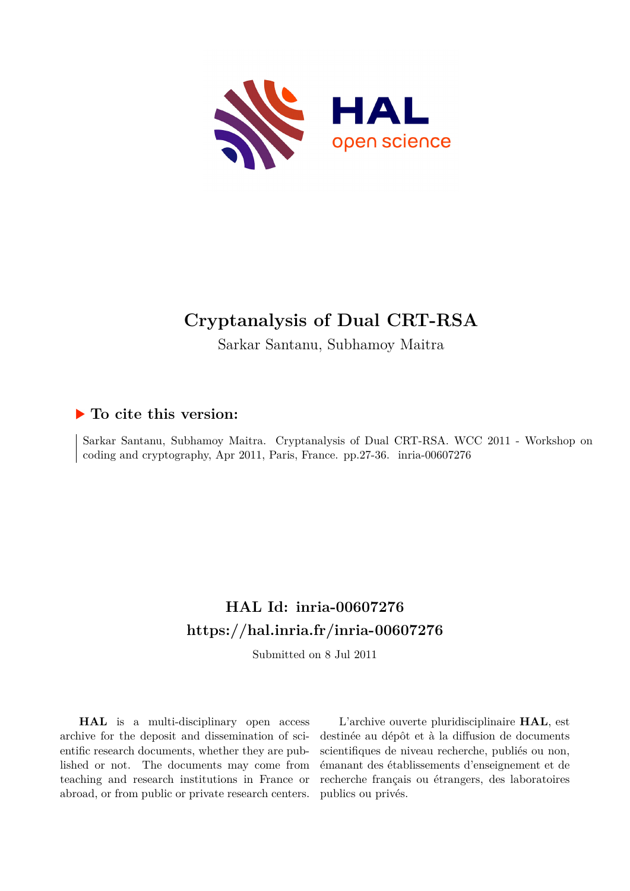

# **Cryptanalysis of Dual CRT-RSA**

Sarkar Santanu, Subhamoy Maitra

### **To cite this version:**

Sarkar Santanu, Subhamoy Maitra. Cryptanalysis of Dual CRT-RSA. WCC 2011 - Workshop on coding and cryptography, Apr 2011, Paris, France. pp.27-36. inria-00607276

## **HAL Id: inria-00607276 <https://hal.inria.fr/inria-00607276>**

Submitted on 8 Jul 2011

**HAL** is a multi-disciplinary open access archive for the deposit and dissemination of scientific research documents, whether they are published or not. The documents may come from teaching and research institutions in France or abroad, or from public or private research centers.

L'archive ouverte pluridisciplinaire **HAL**, est destinée au dépôt et à la diffusion de documents scientifiques de niveau recherche, publiés ou non, émanant des établissements d'enseignement et de recherche français ou étrangers, des laboratoires publics ou privés.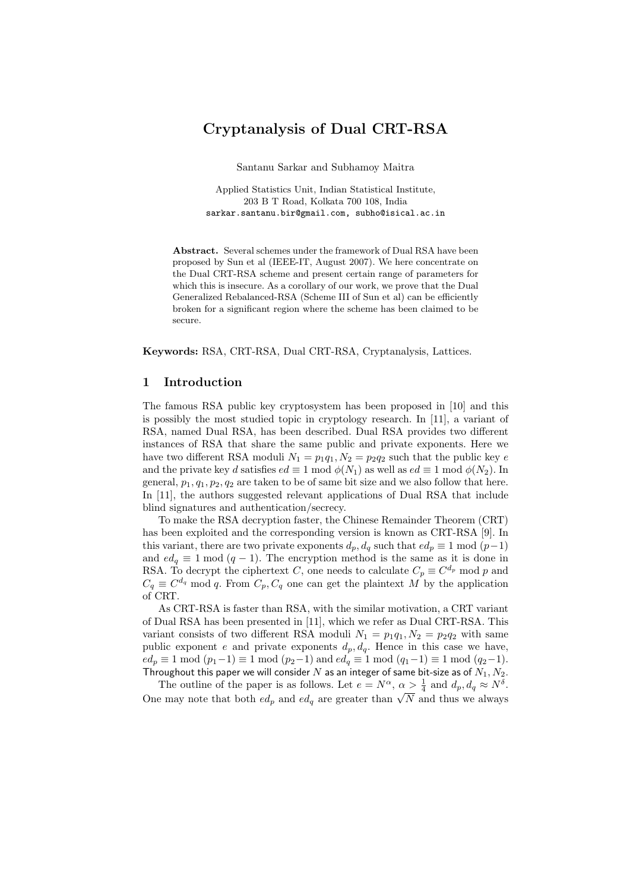### Cryptanalysis of Dual CRT-RSA

Santanu Sarkar and Subhamoy Maitra

Applied Statistics Unit, Indian Statistical Institute, 203 B T Road, Kolkata 700 108, India sarkar.santanu.bir@gmail.com, subho@isical.ac.in

Abstract. Several schemes under the framework of Dual RSA have been proposed by Sun et al (IEEE-IT, August 2007). We here concentrate on the Dual CRT-RSA scheme and present certain range of parameters for which this is insecure. As a corollary of our work, we prove that the Dual Generalized Rebalanced-RSA (Scheme III of Sun et al) can be efficiently broken for a significant region where the scheme has been claimed to be secure.

Keywords: RSA, CRT-RSA, Dual CRT-RSA, Cryptanalysis, Lattices.

#### 1 Introduction

The famous RSA public key cryptosystem has been proposed in [10] and this is possibly the most studied topic in cryptology research. In [11], a variant of RSA, named Dual RSA, has been described. Dual RSA provides two different instances of RSA that share the same public and private exponents. Here we have two different RSA moduli  $N_1 = p_1q_1, N_2 = p_2q_2$  such that the public key e and the private key d satisfies  $ed \equiv 1 \mod \phi(N_1)$  as well as  $ed \equiv 1 \mod \phi(N_2)$ . In general,  $p_1, q_1, p_2, q_2$  are taken to be of same bit size and we also follow that here. In [11], the authors suggested relevant applications of Dual RSA that include blind signatures and authentication/secrecy.

To make the RSA decryption faster, the Chinese Remainder Theorem (CRT) has been exploited and the corresponding version is known as CRT-RSA [9]. In this variant, there are two private exponents  $d_p, d_q$  such that  $ed_p \equiv 1 \mod (p-1)$ and  $ed_q \equiv 1 \mod (q-1)$ . The encryption method is the same as it is done in RSA. To decrypt the ciphertext C, one needs to calculate  $C_p \equiv C^{d_p} \mod p$  and  $C_q \equiv C^{d_q} \mod q$ . From  $C_p, C_q$  one can get the plaintext M by the application of CRT.

As CRT-RSA is faster than RSA, with the similar motivation, a CRT variant of Dual RSA has been presented in [11], which we refer as Dual CRT-RSA. This variant consists of two different RSA moduli  $N_1 = p_1q_1, N_2 = p_2q_2$  with same public exponent e and private exponents  $d_p, d_q$ . Hence in this case we have,  $ed_p \equiv 1 \mod (p_1-1) \equiv 1 \mod (p_2-1)$  and  $ed_q \equiv 1 \mod (q_1-1) \equiv 1 \mod (q_2-1)$ . Throughout this paper we will consider  $N$  as an integer of same bit-size as of  $N_1, N_2$ .

The outline of the paper is as follows. Let  $e = N^{\alpha}$ ,  $\alpha \geq \frac{1}{4}$  and  $d_p$ ,  $d_q \approx N^{\delta}$ . One may note that both  $ed_p$  and  $ed_q$  are greater than  $\sqrt{N}$  and thus we always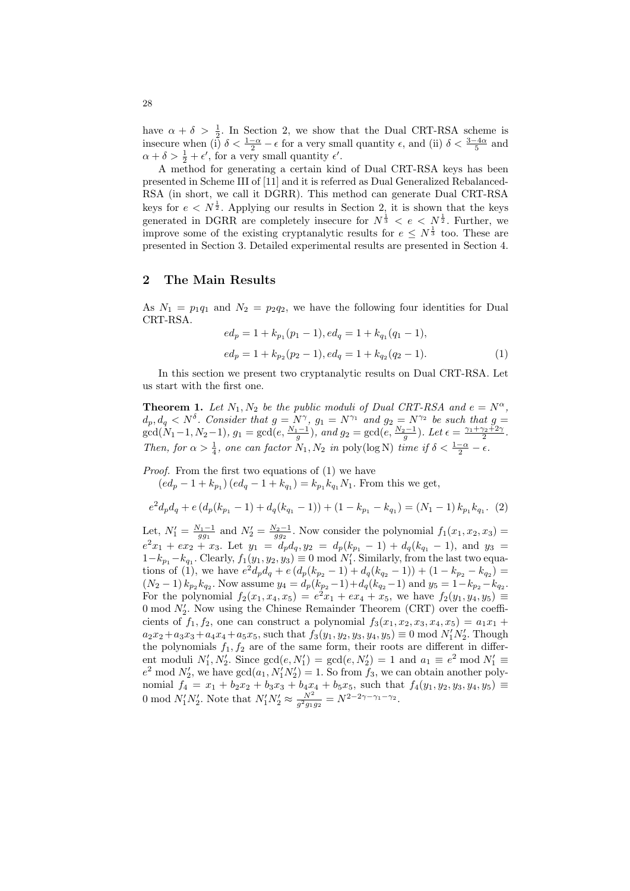have  $\alpha + \delta > \frac{1}{2}$ . In Section 2, we show that the Dual CRT-RSA scheme is insecure when (i)  $\delta < \frac{1-\alpha}{2} - \epsilon$  for a very small quantity  $\epsilon$ , and (ii)  $\delta < \frac{3-4\alpha}{5}$  and  $\alpha + \delta > \frac{1}{2} + \epsilon'$ , for a very small quantity  $\epsilon'$ .

A method for generating a certain kind of Dual CRT-RSA keys has been presented in Scheme III of [11] and it is referred as Dual Generalized Rebalanced-RSA (in short, we call it DGRR). This method can generate Dual CRT-RSA keys for  $e < N^{\frac{1}{2}}$ . Applying our results in Section 2, it is shown that the keys generated in DGRR are completely insecure for  $N^{\frac{1}{3}} < e < N^{\frac{1}{2}}$ . Further, we improve some of the existing cryptanalytic results for  $e \leq N^{\frac{1}{3}}$  too. These are presented in Section 3. Detailed experimental results are presented in Section 4.

#### 2 The Main Results

As  $N_1 = p_1q_1$  and  $N_2 = p_2q_2$ , we have the following four identities for Dual CRT-RSA.

$$
ed_p = 1 + k_{p_1}(p_1 - 1), ed_q = 1 + k_{q_1}(q_1 - 1),
$$
  

$$
ed_p = 1 + k_{p_2}(p_2 - 1), ed_q = 1 + k_{q_2}(q_2 - 1).
$$
 (1)

In this section we present two cryptanalytic results on Dual CRT-RSA. Let us start with the first one.

**Theorem 1.** Let  $N_1, N_2$  be the public moduli of Dual CRT-RSA and  $e = N^{\alpha}$ ,  $d_p, d_q \lt N^{\delta}$ . Consider that  $g = N^{\gamma}$ ,  $g_1 = N^{\gamma_1}$  and  $g_2 = N^{\gamma_2}$  be such that  $g =$  $gcd(N_1-1, N_2-1), g_1 = gcd(e, \frac{N_1-1}{g}), and g_2 = gcd(e, \frac{N_2-1}{g}).$  Let  $\epsilon = \frac{\gamma_1 + \gamma_2 + 2\gamma}{2}.$ Then, for  $\alpha > \frac{1}{4}$ , one can factor  $N_1, N_2$  in poly(log N) time if  $\delta < \frac{1-\alpha}{2} - \epsilon$ .

Proof. From the first two equations of  $(1)$  we have

 $(ed_p - 1 + k_{p_1}) (ed_q - 1 + k_{q_1}) = k_{p_1} k_{q_1} N_1$ . From this we get,

$$
e^{2}d_{p}d_{q} + e(d_{p}(k_{p_{1}} - 1) + d_{q}(k_{q_{1}} - 1)) + (1 - k_{p_{1}} - k_{q_{1}}) = (N_{1} - 1) k_{p_{1}}k_{q_{1}}.
$$
 (2)

Let,  $N'_1 = \frac{N_1 - 1}{gg_1}$  and  $N'_2 = \frac{N_2 - 1}{gg_2}$ . Now consider the polynomial  $f_1(x_1, x_2, x_3) =$  $e^2x_1 + ex_2 + x_3$ . Let  $y_1 = d_p d_q, y_2 = d_p(k_{p_1} - 1) + d_q(k_{q_1} - 1)$ , and  $y_3 =$  $1-k_{p_1}-k_{q_1}$ . Clearly,  $f_1(y_1, y_2, y_3) \equiv 0 \mod N'_1$ . Similarly, from the last two equations of (1), we have  $e^2d_p d_q + e(d_p(k_{p_2}-1) + d_q(k_{q_2}-1)) + (1 - k_{p_2} - k_{q_2}) =$  $(N_2-1) k_{p_2} k_{q_2}$ . Now assume  $y_4 = d_p(k_{p_2}-1) + d_q(k_{q_2}-1)$  and  $y_5 = 1 - k_{p_2} - k_{q_2}$ . For the polynomial  $f_2(x_1, x_4, x_5) = e^2 x_1 + e x_4 + x_5$ , we have  $f_2(y_1, y_4, y_5) =$ 0 mod  $N'_2$ . Now using the Chinese Remainder Theorem (CRT) over the coefficients of  $f_1, f_2$ , one can construct a polynomial  $f_3(x_1, x_2, x_3, x_4, x_5) = a_1x_1 +$  $a_2x_2 + a_3x_3 + a_4x_4 + a_5x_5$ , such that  $f_3(y_1, y_2, y_3, y_4, y_5) \equiv 0 \mod N'_1N'_2$ . Though the polynomials  $f_1, f_2$  are of the same form, their roots are different in different moduli  $N'_1, N'_2$ . Since  $gcd(e, N'_1) = gcd(e, N'_2) = 1$  and  $a_1 \equiv e^2 \mod N'_1 \equiv$  $e^2 \mod N'_2$ , we have  $gcd(a_1, N'_1N'_2) = 1$ . So from  $f_3$ , we can obtain another polynomial  $f_4 = x_1 + b_2x_2 + b_3x_3 + b_4x_4 + b_5x_5$ , such that  $f_4(y_1, y_2, y_3, y_4, y_5) \equiv$ 0 mod  $N'_1 N'_2$ . Note that  $N'_1 N'_2 \approx \frac{N^2}{g^2 g_1 g_2} = N^{2-2\gamma - \gamma_1 - \gamma_2}$ .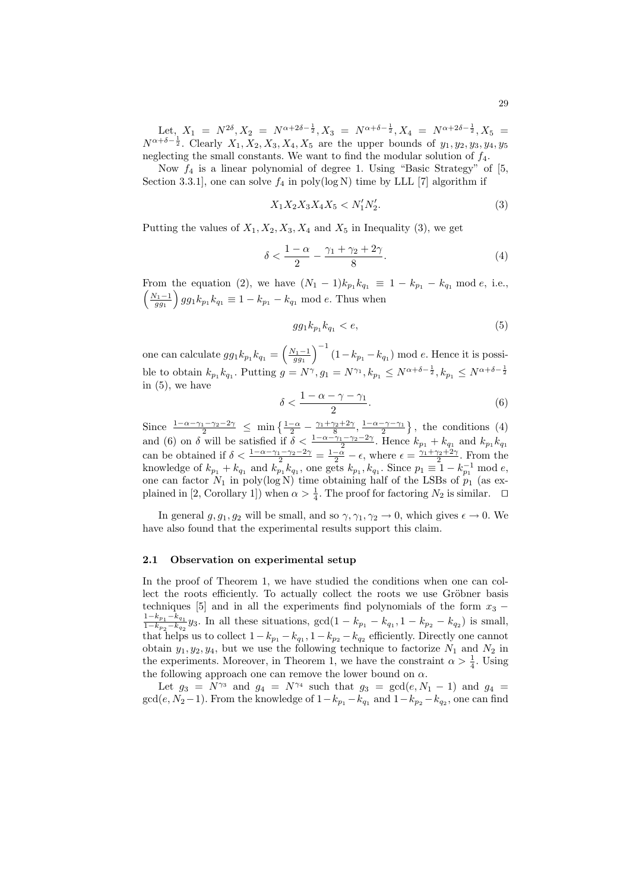Let,  $X_1 = N^{2\delta}, X_2 = N^{\alpha+2\delta-\frac{1}{2}}, X_3 = N^{\alpha+\delta-\frac{1}{2}}, X_4 = N^{\alpha+2\delta-\frac{1}{2}}, X_5 =$  $N^{\alpha+\delta-\frac{1}{2}}$ . Clearly  $X_1, X_2, X_3, X_4, X_5$  are the upper bounds of  $y_1, y_2, y_3, y_4, y_5$ neglecting the small constants. We want to find the modular solution of  $f_4$ .

Now  $f_4$  is a linear polynomial of degree 1. Using "Basic Strategy" of [5, Section 3.3.1], one can solve  $f_4$  in poly(log N) time by LLL [7] algorithm if

$$
X_1 X_2 X_3 X_4 X_5 < N'_1 N'_2. \tag{3}
$$

Putting the values of  $X_1, X_2, X_3, X_4$  and  $X_5$  in Inequality (3), we get

$$
\delta < \frac{1-\alpha}{2} - \frac{\gamma_1 + \gamma_2 + 2\gamma}{8}.\tag{4}
$$

From the equation (2), we have  $(N_1 - 1)k_{p_1} k_{q_1} \equiv 1 - k_{p_1} - k_{q_1} \mod e$ , i.e.,  $\left(\frac{N_1-1}{gg_1}\right)gg_1k_{p_1}k_{q_1} \equiv 1 - k_{p_1} - k_{q_1} \bmod e$ . Thus when

$$
gg_1k_{p_1}k_{q_1} < e,\t\t(5)
$$

one can calculate  $gg_1k_{p_1}k_{q_1} = \left(\frac{N_1-1}{gg_1}\right)^{-1}(1-k_{p_1}-k_{q_1}) \mod e$ . Hence it is possible to obtain  $k_{p_1} k_{q_1}$ . Putting  $g = N^{\gamma}, g_1 = N^{\gamma_1}, k_{p_1} \leq N^{\alpha + \delta - \frac{1}{2}}, k_{p_1} \leq N^{\alpha + \delta - \frac{1}{2}}$ in (5), we have

$$
\delta < \frac{1 - \alpha - \gamma - \gamma_1}{2}.\tag{6}
$$

Since  $\frac{1-\alpha-\gamma_1-\gamma_2-2\gamma}{2} \leq \min\left\{\frac{1-\alpha}{2}-\frac{\gamma_1+\gamma_2+2\gamma}{8},\frac{1-\alpha-\gamma-\gamma_1}{2}\right\},\$  the conditions (4) and (6) on  $\delta$  will be satisfied if  $\delta < \frac{1-\alpha-\gamma_1-\gamma_2-2\gamma}{2}$ . Hence  $k_{p_1} + k_{q_1}$  and  $k_{p_1}k_{q_1}$ can be obtained if  $\delta < \frac{1-\alpha-\gamma_1-\gamma_2-2\gamma}{2} = \frac{1-\alpha}{2} - \epsilon$ , where  $\epsilon = \frac{\gamma_1+\gamma_2+2\gamma}{2}$ . From the knowledge of  $k_{p_1} + k_{q_1}$  and  $k_{p_1} k_{q_1}$ , one gets  $k_{p_1}, k_{q_1}$ . Since  $p_1 \equiv 1 - k_{p_1}^{-1}$  mod e, one can factor  $N_1$  in poly(log N) time obtaining half of the LSBs of  $p_1$  (as explained in [2, Corollary 1]) when  $\alpha > \frac{1}{4}$ . The proof for factoring  $N_2$  is similar.  $\Box$ 

In general  $g, g_1, g_2$  will be small, and so  $\gamma, \gamma_1, \gamma_2 \to 0$ , which gives  $\epsilon \to 0$ . We have also found that the experimental results support this claim.

#### 2.1 Observation on experimental setup

In the proof of Theorem 1, we have studied the conditions when one can collect the roots efficiently. To actually collect the roots we use Gröbner basis techniques [5] and in all the experiments find polynomials of the form  $x_3$  −  $\frac{1-k_{p_1}-k_{q_1}}{h}$  $\frac{1-k_{p_1}-k_{q_1}}{1-k_{p_2}-k_{q_2}}y_3$ . In all these situations,  $gcd(1-k_{p_1}-k_{q_1}, 1-k_{p_2}-k_{q_2})$  is small, that helps us to collect  $1 - k_{p_1} - k_{q_1}$ ,  $1 - k_{p_2} - k_{q_2}$  efficiently. Directly one cannot obtain  $y_1, y_2, y_4$ , but we use the following technique to factorize  $N_1$  and  $N_2$  in the experiments. Moreover, in Theorem 1, we have the constraint  $\alpha > \frac{1}{4}$ . Using the following approach one can remove the lower bound on  $\alpha$ .

Let  $g_3 = N^{\gamma_3}$  and  $g_4 = N^{\gamma_4}$  such that  $g_3 = \gcd(e, N_1 - 1)$  and  $g_4 =$  $gcd(e, N_2-1)$ . From the knowledge of  $1-k_{p_1}-k_{q_1}$  and  $1-k_{p_2}-k_{q_2}$ , one can find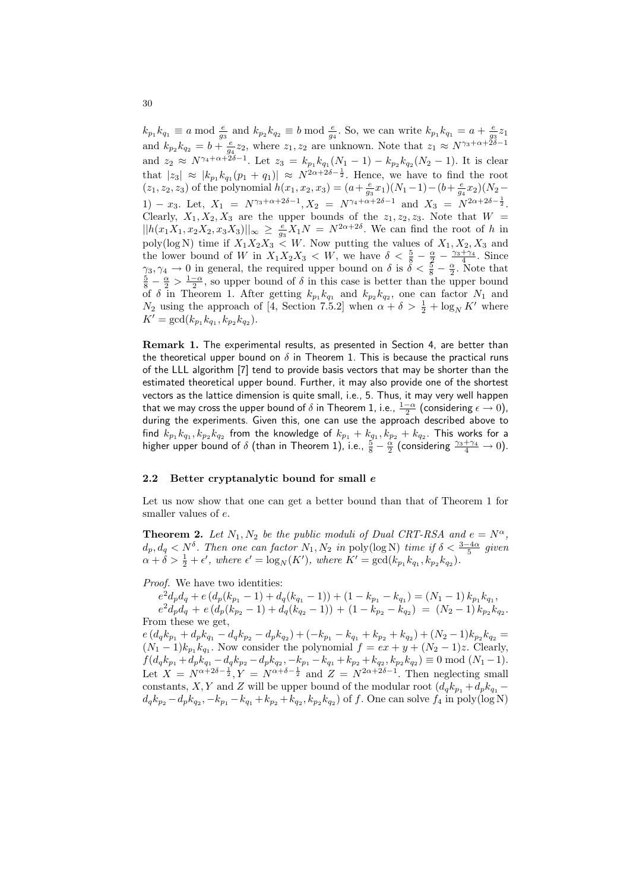$k_{p_1}k_{q_1} \equiv a \mod \frac{e}{g_3}$  and  $k_{p_2}k_{q_2} \equiv b \mod \frac{e}{g_4}$ . So, we can write  $k_{p_1}k_{q_1} = a + \frac{e}{g_3}z_1$ and  $k_{p_2}k_{q_2}=b+\frac{e}{g_4}z_2$ , where  $z_1, z_2$  are unknown. Note that  $z_1 \approx N^{\gamma_3+\alpha+2\delta-1}$ and  $z_2 \approx N^{\gamma_4 + \alpha + 2\delta - 1}$ . Let  $z_3 = k_{p_1} k_{q_1} (N_1 - 1) - k_{p_2} k_{q_2} (N_2 - 1)$ . It is clear that  $|z_3| \approx |k_{p_1}k_{q_1}(p_1+q_1)| \approx N^{2\alpha+2\delta-\frac{1}{2}}$ . Hence, we have to find the root  $(z_1, z_2, z_3)$  of the polynomial  $h(x_1, x_2, x_3) = (a + \frac{e}{g_3}x_1)(N_1 - 1) - (b + \frac{e}{g_4}x_2)(N_2 -$ 1) – x<sub>3</sub>. Let,  $X_1 = N^{\gamma_3 + \alpha + 2\delta - 1}$ ,  $X_2 = N^{\gamma_4 + \alpha + 2\delta - 1}$  and  $X_3 = N^{2\alpha + 2\delta - \frac{1}{2}}$ . Clearly,  $X_1, X_2, X_3$  are the upper bounds of the  $z_1, z_2, z_3$ . Note that  $W =$  $||h(x_1X_1, x_2X_2, x_3X_3)||_{\infty} \ge \frac{e}{g_3}X_1N = N^{2\alpha+2\delta}$ . We can find the root of h in poly(log N) time if  $X_1X_2X_3 \lt W$ . Now putting the values of  $X_1, X_2, X_3$  and the lower bound of W in  $X_1X_2X_3 \, \langle W, W \rangle$  we have  $\delta \langle \frac{5}{8} - \frac{\alpha}{2} - \frac{\gamma_3 + \gamma_4}{4} \rangle$ . Since  $\gamma_3, \gamma_4 \to 0$  in general, the required upper bound on  $\delta$  is  $\delta < \frac{5}{8} - \frac{\alpha}{2}$ . Note that  $\frac{5}{8} - \frac{\alpha}{2} > \frac{1-\alpha}{2}$ , so upper bound of  $\delta$  in this case is better than the upper bound of  $\delta$  in Theorem 1. After getting  $k_{p_1} k_{q_1}$  and  $k_{p_2} k_{q_2}$ , one can factor  $N_1$  and  $N_2$  using the approach of [4, Section 7.5.2] when  $\alpha + \delta > \frac{1}{2} + \log_N K'$  where  $K' = \gcd(k_{p_1} k_{q_1}, k_{p_2} k_{q_2}).$ 

Remark 1. The experimental results, as presented in Section 4, are better than the theoretical upper bound on  $\delta$  in Theorem 1. This is because the practical runs of the LLL algorithm [7] tend to provide basis vectors that may be shorter than the estimated theoretical upper bound. Further, it may also provide one of the shortest vectors as the lattice dimension is quite small, i.e., 5. Thus, it may very well happen that we may cross the upper bound of  $\delta$  in Theorem 1, i.e.,  $\frac{1-\alpha}{2}$  (considering  $\epsilon \to 0$ ), during the experiments. Given this, one can use the approach described above to find  $k_{p_1}k_{q_1}, k_{p_2}k_{q_2}$  from the knowledge of  $k_{p_1}+k_{q_1}, k_{p_2}+k_{q_2}.$  This works for a higher upper bound of  $\delta$  (than in Theorem 1), i.e.,  $\frac{5}{8} - \frac{\alpha}{2}$  (considering  $\frac{\gamma_3 + \gamma_4}{4} \to 0$ ).

#### 2.2 Better cryptanalytic bound for small e

Let us now show that one can get a better bound than that of Theorem 1 for smaller values of e.

**Theorem 2.** Let  $N_1, N_2$  be the public moduli of Dual CRT-RSA and  $e = N^{\alpha}$ .  $d_p, d_q < N^{\delta}$ . Then one can factor  $N_1, N_2$  in poly(log N) time if  $\delta < \frac{3-4\alpha}{5}$  given  $\alpha + \delta > \frac{1}{2} + \epsilon'$ , where  $\epsilon' = \log_N(K')$ , where  $K' = \gcd(k_{p_1} k_{q_1}, k_{p_2} k_{q_2})$ .

Proof. We have two identities:

 $e^2 d_p d_q + e \left( d_p (k_{p_1} - 1) + d_q (k_{q_1} - 1) \right) + \left( 1 - k_{p_1} - k_{q_1} \right) = (N_1 - 1) k_{p_1} k_{q_1},$  $e^2 d_p d_q + e (d_p (k_{p_2} - 1) + d_q (k_{q_2} - 1)) + (1 - k_{p_2} - k_{q_2}) = (N_2 - 1) k_{p_2} k_{q_2}.$ From these we get,

 $e\left(d_q k_{p_1}+d_p k_{q_1}-d_q k_{p_2}-d_p k_{q_2}\right)+\left(-k_{p_1}-k_{q_1}+k_{p_2}+k_{q_2}\right)+\left(N_2-1\right)k_{p_2} k_{q_2}=$  $(N_1-1)k_{p_1}k_{q_1}$ . Now consider the polynomial  $f = ex + y + (N_2-1)z$ . Clearly,  $f(d_q k_{p_1} + d_p k_{q_1} - d_q k_{p_2} - d_p k_{q_2}, -k_{p_1} - k_{q_1} + k_{p_2} + k_{q_2}, k_{p_2} k_{q_2}) \equiv 0 \mod (N_1 - 1).$ Let  $X = N^{\alpha+2\delta-\frac{1}{2}}, Y = N^{\alpha+\delta-\frac{1}{2}}$  and  $Z = N^{2\alpha+2\delta-1}$ . Then neglecting small constants, X, Y and Z will be upper bound of the modular root  $(d_q k_{p_1} + d_p k_{q_1}$  $d_q k_{p_2} - d_p k_{q_2}, -k_{p_1} - k_{q_1} + k_{p_2} + k_{q_2}, k_{p_2} k_{q_2}$  of f. One can solve  $f_4$  in poly(log N)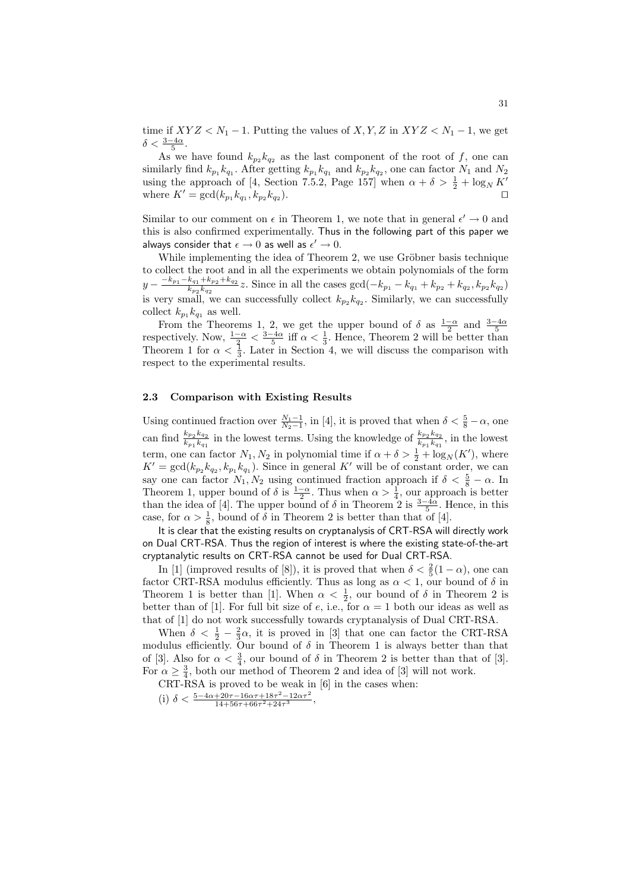time if  $XYZ < N_1 - 1$ . Putting the values of  $X, Y, Z$  in  $XYZ < N_1 - 1$ , we get  $\delta < \frac{3-4\alpha}{5}$ .

As we have found  $k_{p_2} k_{q_2}$  as the last component of the root of f, one can similarly find  $k_{p_1} k_{q_1}$ . After getting  $k_{p_1} k_{q_1}$  and  $k_{p_2} k_{q_2}$ , one can factor  $N_1$  and  $N_2$ using the approach of [4, Section 7.5.2, Page 157] when  $\alpha + \delta > \frac{1}{2} + \log_N K'$ where  $K' = \gcd(k_{p_1} k_{q_1}, k_{p_2} k_{q_2})$ ). ⊓⊔

Similar to our comment on  $\epsilon$  in Theorem 1, we note that in general  $\epsilon' \to 0$  and this is also confirmed experimentally. Thus in the following part of this paper we always consider that  $\epsilon \to 0$  as well as  $\epsilon' \to 0$ .

While implementing the idea of Theorem 2, we use Gröbner basis technique to collect the root and in all the experiments we obtain polynomials of the form  $y - \frac{-k_{p_1} - k_{q_1} + k_{p_2} + k_{q_2}}{k_{p_2} k_{q_2}}$  $\frac{k_{q_1} + k_{p_2} + k_{q_2}}{k_{p_2}k_{q_2}}$  *z*. Since in all the cases gcd( $-k_{p_1} - k_{q_1} + k_{p_2} + k_{q_2}, k_{p_2}k_{q_2}$ ) is very small, we can successfully collect  $k_{p_2} k_{q_2}$ . Similarly, we can successfully collect  $k_{p_1} k_{q_1}$  as well.

From the Theorems 1, 2, we get the upper bound of  $\delta$  as  $\frac{1-\alpha}{2}$  and  $\frac{3-4\alpha}{5}$  respectively. Now,  $\frac{1-\alpha}{3} < \frac{3-4\alpha}{5}$  iff  $\alpha < \frac{1}{3}$ . Hence, Theorem 2 will be better than Theorem 1 for  $\alpha < \frac{1}{3}$ . Later in Section 4, we will discuss the comparison with respect to the experimental results.

#### 2.3 Comparison with Existing Results

Using continued fraction over  $\frac{N_1-1}{N_2-1}$ , in [4], it is proved that when  $\delta < \frac{5}{8}-\alpha$ , one can find  $\frac{k_{p_2}k_{q_2}}{k_{p_2}k_{p_2}}$  $\frac{k_{p_2}k_{q_2}}{k_{p_1}k_{q_1}}$  in the lowest terms. Using the knowledge of  $\frac{k_{p_2}k_{q_2}}{k_{p_1}k_{q_1}}$  $\frac{\kappa_{p_2}\kappa_{q_2}}{k_{p_1}k_{q_1}},$  in the lowest term, one can factor  $N_1, N_2$  in polynomial time if  $\alpha + \delta > \frac{1}{2} + \log_N(K')$ , where  $K' = \gcd(k_{p_2}k_{q_2}, k_{p_1}k_{q_1})$ . Since in general  $K'$  will be of constant order, we can say one can factor  $N_1, N_2$  using continued fraction approach if  $\delta < \frac{5}{8} - \alpha$ . In Theorem 1, upper bound of  $\delta$  is  $\frac{1-\alpha}{2}$ . Thus when  $\alpha > \frac{1}{4}$ , our approach is better than the idea of [4]. The upper bound of  $\delta$  in Theorem 2 is  $\frac{3-4\alpha}{5}$ . Hence, in this case, for  $\alpha > \frac{1}{8}$ , bound of  $\delta$  in Theorem 2 is better than that of [4].

It is clear that the existing results on cryptanalysis of CRT-RSA will directly work on Dual CRT-RSA. Thus the region of interest is where the existing state-of-the-art cryptanalytic results on CRT-RSA cannot be used for Dual CRT-RSA.

In [1] (improved results of [8]), it is proved that when  $\delta < \frac{2}{5}(1-\alpha)$ , one can factor CRT-RSA modulus efficiently. Thus as long as  $\alpha < 1$ , our bound of  $\delta$  in Theorem 1 is better than [1]. When  $\alpha < \frac{1}{2}$ , our bound of  $\delta$  in Theorem 2 is better than of [1]. For full bit size of e, i.e., for  $\alpha = 1$  both our ideas as well as that of [1] do not work successfully towards cryptanalysis of Dual CRT-RSA.

When  $\delta < \frac{1}{2} - \frac{2}{3}\alpha$ , it is proved in [3] that one can factor the CRT-RSA modulus efficiently. Our bound of  $\delta$  in Theorem 1 is always better than that of [3]. Also for  $\alpha < \frac{3}{4}$ , our bound of  $\delta$  in Theorem 2 is better than that of [3]. For  $\alpha \geq \frac{3}{4}$ , both our method of Theorem 2 and idea of [3] will not work.

CRT-RSA is proved to be weak in [6] in the cases when: (i)  $\delta < \frac{5-4\alpha+20\tau-16\alpha\tau+18\tau^2-12\alpha\tau^2}{14+56\tau+66\tau^2+24\tau^3},$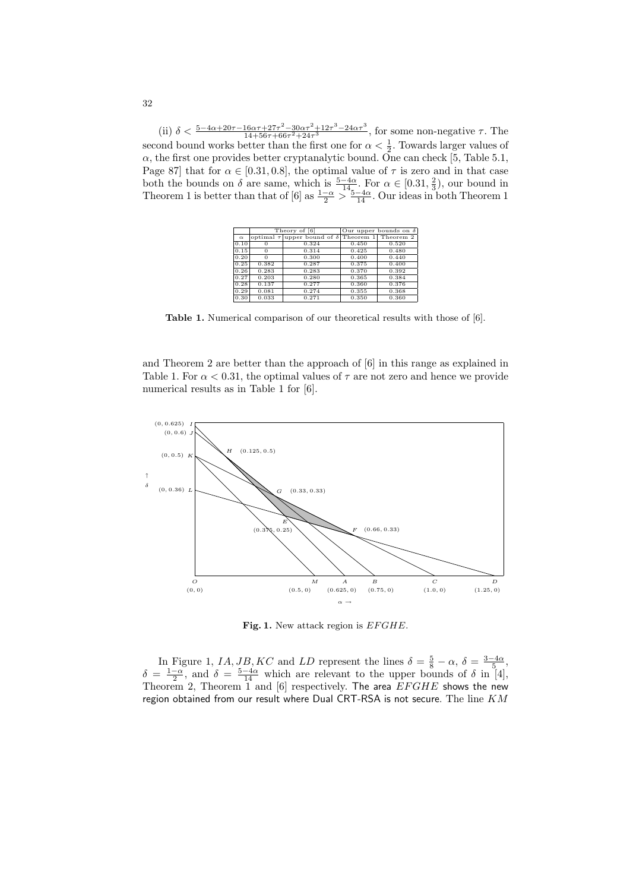(ii)  $\delta < \frac{5-4\alpha+20\tau-16\alpha\tau+27\tau^2-30\alpha\tau^2+12\tau^3-24\alpha\tau^3}{14+56\tau+66\tau^2+24\tau^3}$ , for some non-negative  $\tau$ . The second bound works better than the first one for  $\alpha < \frac{1}{2}$ . Towards larger values of  $\alpha$ , the first one provides better cryptanalytic bound. One can check [5, Table 5.1, Page 87] that for  $\alpha \in [0.31, 0.8]$ , the optimal value of  $\tau$  is zero and in that case both the bounds on  $\delta$  are same, which is  $\frac{5-4\alpha}{14}$ . For  $\alpha \in [0.31, \frac{2}{3})$ , our bound in Theorem 1 is better than that of [6] as  $\frac{1-\alpha}{2} > \frac{5-4\alpha}{14}$ . Our ideas in both Theorem 1

|          |       | Theory of [6]                                    | Our upper bounds on $\delta$ |           |  |  |
|----------|-------|--------------------------------------------------|------------------------------|-----------|--|--|
| $\alpha$ |       | optimal $\tau$ upper bound of $\delta$ Theorem 1 |                              | Theorem 2 |  |  |
| 0.10     |       | 0.324                                            | 0.450                        | 0.520     |  |  |
| 0.15     | 0     | 0.314                                            | 0.425                        | 0.480     |  |  |
| 0.20     | 0     | 0.300                                            | 0.400                        | 0.440     |  |  |
| 0.25     | 0.382 | 0.287                                            | 0.375                        | 0.400     |  |  |
| 0.26     | 0.283 | 0.283                                            | 0.370                        | 0.392     |  |  |
| 0.27     | 0.203 | 0.280                                            | 0.365                        | 0.384     |  |  |
| 0.28     | 0.137 | 0.277                                            | 0.360                        | 0.376     |  |  |
| 0.29     | 0.081 | 0.274                                            | 0.355                        | 0.368     |  |  |
| 0.30     | 0.033 | 0.271                                            | 0.350                        | 0.360     |  |  |

Table 1. Numerical comparison of our theoretical results with those of [6].

and Theorem 2 are better than the approach of [6] in this range as explained in Table 1. For  $\alpha < 0.31$ , the optimal values of  $\tau$  are not zero and hence we provide numerical results as in Table 1 for [6].



Fig. 1. New attack region is  $EFGHE$ .

In Figure 1, IA, JB, KC and LD represent the lines  $\delta = \frac{5}{8} - \alpha$ ,  $\delta = \frac{3-4\alpha}{5}$ ,  $\delta = \frac{1-\alpha}{2}$ , and  $\delta = \frac{5-4\alpha}{14}$  which are relevant to the upper bounds of  $\delta$  in [4], Theorem 2, Theorem  $\overline{1}$  and  $[6]$  respectively. The area  $EFGHE$  shows the new region obtained from our result where Dual CRT-RSA is not secure. The line  $KM$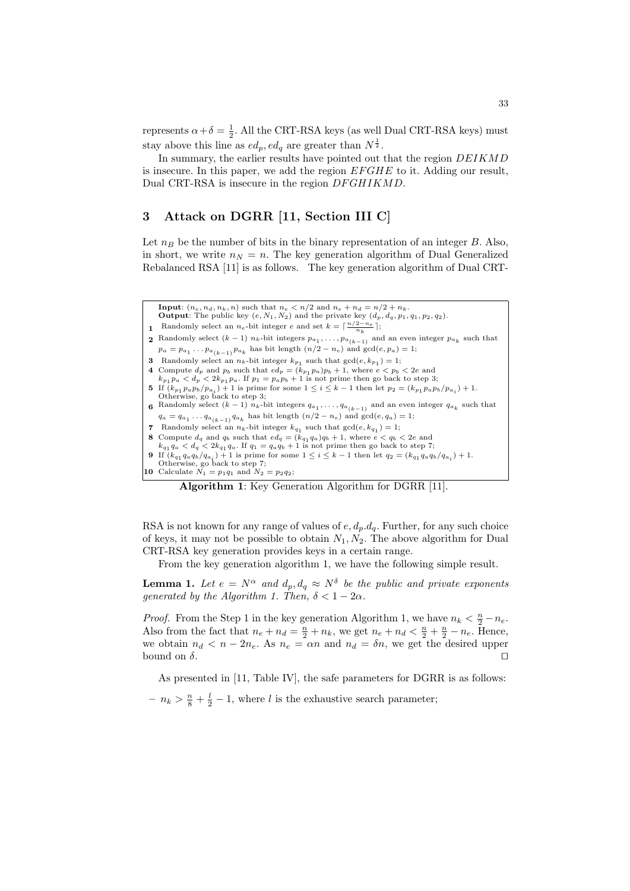represents  $\alpha + \delta = \frac{1}{2}$ . All the CRT-RSA keys (as well Dual CRT-RSA keys) must stay above this line as  $ed_p, ed_q$  are greater than  $N^{\frac{1}{2}}$ .

In summary, the earlier results have pointed out that the region DEIKMD is insecure. In this paper, we add the region  $EFGHE$  to it. Adding our result, Dual CRT-RSA is insecure in the region  $DFGHIKMD$ .

#### 3 Attack on DGRR [11, Section III C]

Let  $n_B$  be the number of bits in the binary representation of an integer B. Also, in short, we write  $n_N = n$ . The key generation algorithm of Dual Generalized Rebalanced RSA [11] is as follows. The key generation algorithm of Dual CRT-

**Input:**  $(n_e, n_d, n_k, n)$  such that  $n_e < n/2$  and  $n_e + n_d = n/2 + n_k$ . **Output:** The public key  $(e, N_1, N_2)$  and the private key  $(d_p, d_q, p_1, q_1, p_2, q_2)$ . **1** Randomly select an  $n_e$ -bit integer e and set  $k = \lceil \frac{n/2 - n_e}{n_k} \rceil$ ; **2** Randomly select  $(k-1)$   $n_k$ -bit integers  $p_{a_1}, \ldots, p_{a_{(k-1)}}$  and an even integer  $p_{a_k}$  such that  $p_a = p_{a_1} \dots p_{a_{(k-1)}} p_{a_k}$  has bit length  $(n/2 - n_e)$  and  $gcd(e, p_a) = 1$ ; **3** Randomly select an  $n_k$ -bit integer  $k_{p_1}$  such that  $gcd(e, k_{p_1}) = 1$ ; 4 Compute  $d_p$  and  $p_b$  such that  $ed_p = (k_{p_1} p_a)p_b + 1$ , where  $e < p_b < 2e$  and  $k_{p_1} p_a < d_p < 2k_{p_1} p_a$ . If  $p_1 = p_a p_b + 1$  is not prime then go back to step 3; 5 If  $(k_{p_1} p_a p_b / p_{a_i}) + 1$  is prime for some  $1 \le i \le k - 1$  then let  $p_2 = (k_{p_1} p_a p_b / p_{a_i}) + 1$ .<br>Otherwise, go back to step 3; **6** Randomly select  $(k-1)$   $n_k$ -bit integers  $q_{a_1}, \ldots, q_{a_{(k-1)}}$  and an even integer  $q_{a_k}$  such that  $q_a = q_{a_1} \dots q_{a_{(k-1)}} q_{a_k}$  has bit length  $(n/2 - n_e)$  and  $gcd(e, q_a) = 1$ ; 7 Randomly select an  $n_k$ -bit integer  $k_{q_1}$  such that  $gcd(e, k_{q_1}) = 1$ ; 8 Compute  $d_q$  and  $q_b$  such that  $ed_q = (k_{q_1} q_a)q_b + 1$ , where  $e < q_b < 2e$  and  $k_{q_1} q_a < d_q < 2k_{q_1} q_a$ . If  $q_1 = q_a q_b + 1$  is not prime then go back to step 7; **9** If  $(k_{q_1}q_aq_b/q_{a_i}) + 1$  is prime for some  $1 \le i \le k - 1$  then let  $q_2 = (k_{q_1}q_aq_b/q_{a_i}) + 1$ .<br>Otherwise, go back to step 7; 10 Calculate  $N_1 = p_1 q_1$  and  $N_2 = p_2 q_2$ ;

Algorithm 1: Key Generation Algorithm for DGRR [11].

RSA is not known for any range of values of  $e, d_p, d_q$ . Further, for any such choice of keys, it may not be possible to obtain  $N_1, N_2$ . The above algorithm for Dual CRT-RSA key generation provides keys in a certain range.

From the key generation algorithm 1, we have the following simple result.

**Lemma 1.** Let  $e = N^{\alpha}$  and  $d_p, d_q \approx N^{\delta}$  be the public and private exponents generated by the Algorithm 1. Then,  $\delta < 1-2\alpha$ .

*Proof.* From the Step 1 in the key generation Algorithm 1, we have  $n_k < \frac{n}{2} - n_e$ . Also from the fact that  $n_e + n_d = \frac{n}{2} + n_k$ , we get  $n_e + n_d < \frac{n}{2} + \frac{n}{2} - n_e$ . Hence, we obtain  $n_d < n - 2n_e$ . As  $n_e = \alpha n$  and  $n_d = \delta n$ , we get the desired upper bound on  $\delta$ . bound on  $\delta$ .  $□$ 

As presented in [11, Table IV], the safe parameters for DGRR is as follows:  $- n_k > \frac{n}{8} + \frac{l}{2} - 1$ , where l is the exhaustive search parameter;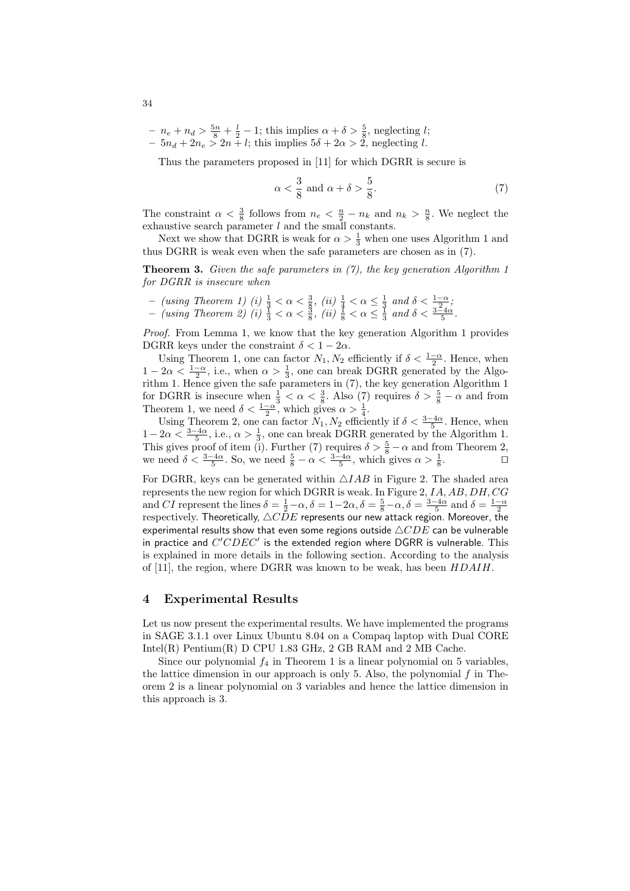$- n_e + n_d > \frac{5n}{8} + \frac{l}{2} - 1$ ; this implies  $\alpha + \delta > \frac{5}{8}$ , neglecting *l*;

 $-5n_d + 2n_e > 2n + l$ ; this implies  $5\delta + 2\alpha > 2$ , neglecting l.

Thus the parameters proposed in [11] for which DGRR is secure is

$$
\alpha < \frac{3}{8} \text{ and } \alpha + \delta > \frac{5}{8}.\tag{7}
$$

The constraint  $\alpha < \frac{3}{8}$  follows from  $n_e < \frac{n}{2} - n_k$  and  $n_k > \frac{n}{8}$ . We neglect the exhaustive search parameter  $l$  and the small constants.

Next we show that DGRR is weak for  $\alpha > \frac{1}{3}$  when one uses Algorithm 1 and thus DGRR is weak even when the safe parameters are chosen as in (7).

**Theorem 3.** Given the safe parameters in  $(7)$ , the key generation Algorithm 1 for DGRR is insecure when

 $-$  (using Theorem 1) (i)  $\frac{1}{3} < \alpha < \frac{3}{8}$ , (ii)  $\frac{1}{4} < \alpha \leq \frac{1}{3}$  and δ <  $\frac{1-\alpha}{2}$ ;  $-$  (using Theorem 2) (i)  $\frac{1}{3} < \alpha < \frac{3}{8}$ , (ii)  $\frac{1}{8} < \alpha \leq \frac{1}{3}$  and  $\delta < \frac{3-4\alpha}{5}$ .

Proof. From Lemma 1, we know that the key generation Algorithm 1 provides DGRR keys under the constraint  $\delta < 1 - 2\alpha$ .

Using Theorem 1, one can factor  $N_1, N_2$  efficiently if  $\delta < \frac{1-\alpha}{2}$ . Hence, when  $1-2\alpha < \frac{1-\alpha}{2}$ , i.e., when  $\alpha > \frac{1}{3}$ , one can break DGRR generated by the Algorithm 1. Hence given the safe parameters in (7), the key generation Algorithm 1 for DGRR is insecure when  $\frac{1}{3} < \alpha < \frac{3}{8}$ . Also (7) requires  $\delta > \frac{5}{8} - \alpha$  and from Theorem 1, we need  $\delta < \frac{1-\alpha}{2}$ , which gives  $\alpha > \frac{1}{4}$ .

Using Theorem 2, one can factor  $N_1, N_2$  efficiently if  $\delta < \frac{3-4\alpha}{5}$ . Hence, when  $1-2\alpha < \frac{3-4\alpha}{5}$ , i.e.,  $\alpha > \frac{1}{3}$ , one can break DGRR generated by the Algorithm 1. This gives proof of item (i). Further (7) requires  $\delta > \frac{5}{8} - \alpha$  and from Theorem 2, we need  $\delta < \frac{3-4\alpha}{5}$ . So, we need  $\frac{5}{8} - \alpha < \frac{3-4\alpha}{5}$ , which gives  $\alpha > \frac{1}{8}$ .

For DGRR, keys can be generated within  $\triangle IAB$  in Figure 2. The shaded area represents the new region for which DGRR is weak. In Figure  $2, I A, AB, DH, CG$ and CI represent the lines  $\delta = \frac{1}{2} - \alpha$ ,  $\delta = 1 - 2\alpha$ ,  $\delta = \frac{5}{8} - \alpha$ ,  $\delta = \frac{3 - 4\alpha}{5}$  and  $\delta = \frac{1 - \alpha}{2}$ respectively. Theoretically,  $\triangle C \overline{D}E$  represents our new attack region. Moreover, the experimental results show that even some regions outside  $\triangle CDE$  can be vulnerable in practice and  $C^{\prime}CDEC^{\prime}$  is the extended region where DGRR is vulnerable. This is explained in more details in the following section. According to the analysis of [11], the region, where DGRR was known to be weak, has been HDAIH.

#### 4 Experimental Results

Let us now present the experimental results. We have implemented the programs in SAGE 3.1.1 over Linux Ubuntu 8.04 on a Compaq laptop with Dual CORE Intel(R) Pentium(R) D CPU 1.83 GHz, 2 GB RAM and 2 MB Cache.

Since our polynomial  $f_4$  in Theorem 1 is a linear polynomial on 5 variables, the lattice dimension in our approach is only 5. Also, the polynomial  $f$  in Theorem 2 is a linear polynomial on 3 variables and hence the lattice dimension in this approach is 3.

34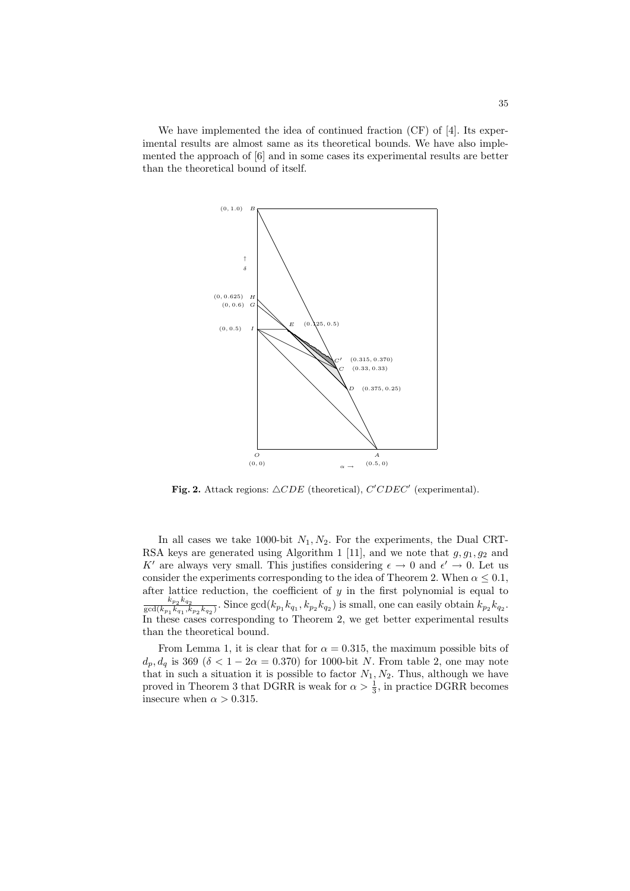We have implemented the idea of continued fraction (CF) of [4]. Its experimental results are almost same as its theoretical bounds. We have also implemented the approach of [6] and in some cases its experimental results are better than the theoretical bound of itself.



Fig. 2. Attack regions:  $\triangle CDE$  (theoretical),  $C^{\prime}CDEC^{\prime}$  (experimental).

In all cases we take 1000-bit  $N_1, N_2$ . For the experiments, the Dual CRT-RSA keys are generated using Algorithm 1 [11], and we note that  $g, g_1, g_2$  and K' are always very small. This justifies considering  $\epsilon \to 0$  and  $\epsilon' \to 0$ . Let us consider the experiments corresponding to the idea of Theorem 2. When  $\alpha \leq 0.1$ , after lattice reduction, the coefficient of  $y$  in the first polynomial is equal to  $k_{p_2} k_{q_2}$  $\frac{k_{p_2} k_{q_2}}{\gcd(k_{p_1} k_{q_1}, k_{p_2} k_{q_2})}$ . Since  $\gcd(k_{p_1} k_{q_1}, k_{p_2} k_{q_2})$  is small, one can easily obtain  $k_{p_2} k_{q_2}$ . In these cases corresponding to Theorem 2, we get better experimental results than the theoretical bound.

From Lemma 1, it is clear that for  $\alpha = 0.315$ , the maximum possible bits of  $d_p, d_q$  is 369 ( $\delta < 1 - 2\alpha = 0.370$ ) for 1000-bit N. From table 2, one may note that in such a situation it is possible to factor  $N_1, N_2$ . Thus, although we have proved in Theorem 3 that DGRR is weak for  $\alpha > \frac{1}{3}$ , in practice DGRR becomes insecure when  $\alpha > 0.315$ .